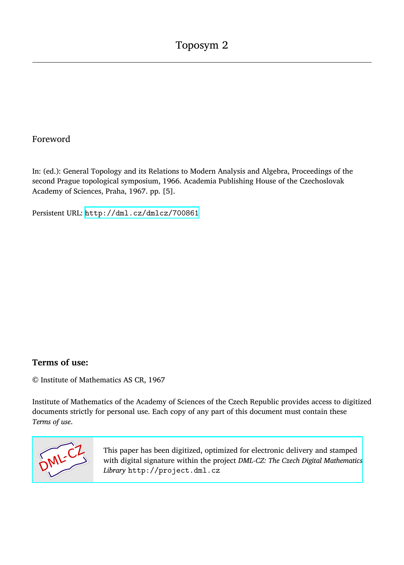## Foreword

In: (ed.): General Topology and its Relations to Modern Analysis and Algebra, Proceedings of the second Prague topological symposium, 1966. Academia Publishing House of the Czechoslovak Academy of Sciences, Praha, 1967. pp. [5].

Persistent URL: <http://dml.cz/dmlcz/700861>

## **Terms of use:**

© Institute of Mathematics AS CR, 1967

Institute of Mathematics of the Academy of Sciences of the Czech Republic provides access to digitized documents strictly for personal use. Each copy of any part of this document must contain these *Terms of use*.



[This paper has been digitized, optimized for electronic delivery and stamped](http://project.dml.cz) with digital signature within the project *DML-CZ: The Czech Digital Mathematics Library* http://project.dml.cz